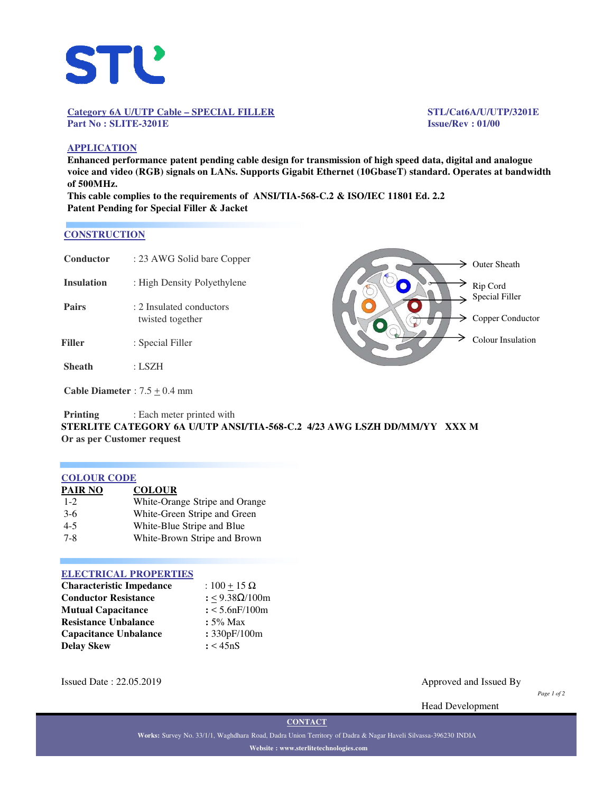

#### **Category 6A U/UTP Cable – SPECIAL FILLER STL/Cat6A/U/UTP/3201E Part No : SLITE-3201E Issue/Rev : 01/00**

# **APPLICATION**

**Enhanced performance patent pending cable design for transmission of high speed data, digital and analogue voice and video (RGB) signals on LANs. Supports Gigabit Ethernet (10GbaseT) standard. Operates at bandwidth of 500MHz.**

**This cable complies to the requirements of ANSI/TIA-568-C.2 & ISO/IEC 11801 Ed. 2.2 Patent Pending for Special Filler & Jacket**

#### **CONSTRUCTION**

| Conductor         | : 23 AWG Solid bare Copper                   |  |
|-------------------|----------------------------------------------|--|
| <b>Insulation</b> | : High Density Polyethylene                  |  |
| <b>Pairs</b>      | : 2 Insulated conductors<br>twisted together |  |
| Filler            | : Special Filler                             |  |
| <b>Sheath</b>     | : LSZH                                       |  |
|                   |                                              |  |

 $\geq$  Outer Sheath  $\geq$  Rip Cord

 $\Rightarrow$  Special Filler

 $\geq$  Copper Conductor

Colour Insulation

**Cable Diameter** :  $7.5 \pm 0.4$  mm

**Printing** : Each meter printed with **STERLITE CATEGORY 6A U/UTP ANSI/TIA-568-C.2 4/23 AWG LSZH DD/MM/YY XXX M Or as per Customer request**

## **COLOUR CODE**

| <b>PAIR NO</b> | <b>COLOUR</b>                  |
|----------------|--------------------------------|
| $1 - 2$        | White-Orange Stripe and Orange |
| $3-6$          | White-Green Stripe and Green   |
| $4 - 5$        | White-Blue Stripe and Blue     |
| $7 - 8$        | White-Brown Stripe and Brown   |
|                |                                |

## **ELECTRICAL PROPERTIES**

| <b>Characteristic Impedance</b> | : $100 + 15 \Omega$ |  |  |
|---------------------------------|---------------------|--|--|
| <b>Conductor Resistance</b>     | : <9.38Ω/100m       |  |  |
| <b>Mutual Capacitance</b>       | $: < 5.6$ nF/100m   |  |  |
| <b>Resistance Unbalance</b>     | $: 5\%$ Max         |  |  |
| <b>Capacitance Unbalance</b>    | : 330pF/100m        |  |  |
| <b>Delay Skew</b>               | : < 45nS            |  |  |

Issued Date : 22.05.2019 Approved and Issued By

*Page 1 of 2*

Head Development

**CONTACT**

**Works:** Survey No. 33/1/1, Waghdhara Road, Dadra Union Territory of Dadra & Nagar Haveli Silvassa-396230 INDIA **Website : www.sterlitetechnologies.com**